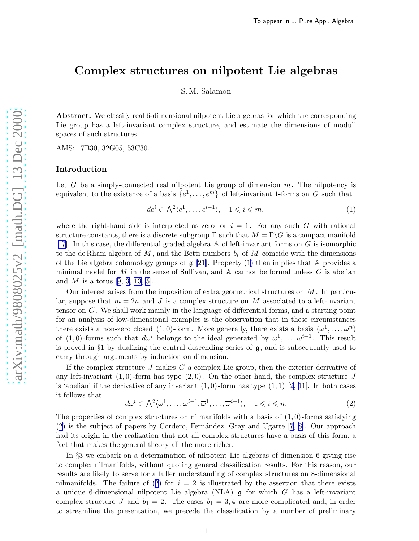## <span id="page-0-0"></span>Complex structures on nilpotent Lie algebras

S. M. Salamon

Abstract. We classify real 6-dimensional nilpotent Lie algebras for which the corresponding Lie group has a left-invariant complex structure, and estimate the dimensions of moduli spaces of such structures.

AMS: 17B30, 32G05, 53C30.

#### Introduction

Let G be a simply-connected real nilpotent Lie group of dimension  $m$ . The nilpotency is equivalent to the existence of a basis  $\{e^1, \ldots, e^m\}$  of left-invariant 1-forms on G such that

$$
de^i \in \bigwedge^2 \langle e^1, \dots, e^{i-1} \rangle, \quad 1 \leq i \leq m,
$$
\n<sup>(1)</sup>

where the right-hand side is interpreted as zero for  $i = 1$ . For any such G with rational structure constants, there is a discrete subgroup  $\Gamma$  such that  $M = \Gamma \backslash G$  is a compact manifold [[17\]](#page-19-0). In this case, the differential graded algebra  $\mathbb A$  of left-invariant forms on G is isomorphic to the de Rham algebra of M, and the Betti numbers  $b_i$  of M coincide with the dimensions of the Lie algebra cohomology groups of  $\mathfrak{g}$  [\[21](#page-19-0)]. Property (1) then implies that A provides a minimal model for  $M$  in the sense of Sullivan, and  $A$  cannot be formal unless  $G$  is abelian andM is a torus [[9](#page-19-0), [3](#page-19-0), [13, 5\]](#page-19-0).

Our interest arises from the imposition of extra geometrical structures on  $M$ . In particular, suppose that  $m = 2n$  and J is a complex structure on M associated to a left-invariant tensor on G. We shall work mainly in the language of differential forms, and a starting point for an analysis of low-dimensional examples is the observation that in these circumstances there exists a non-zero closed  $(1,0)$ -form. More generally, there exists a basis  $(\omega^1,\ldots,\omega^n)$ of (1,0)-forms such that  $d\omega^i$  belongs to the ideal generated by  $\omega^1, \ldots, \omega^{i-1}$ . This result is proved in  $\S1$  by dualizing the central descending series of  $\mathfrak{g}$ , and is subsequently used to carry through arguments by induction on dimension.

If the complex structure  $J$  makes  $G$  a complex Lie group, then the exterior derivative of any left-invariant  $(1, 0)$ -form has type  $(2, 0)$ . On the other hand, the complex structure J is 'abelian' if the derivative of any invariant  $(1,0)$ -form has type  $(1,1)$  [\[2](#page-19-0), [11\]](#page-19-0). In both cases it follows that

$$
d\omega^{i} \in \bigwedge^{2} \langle \omega^{1}, \dots, \omega^{i-1}, \overline{\omega}^{1}, \dots, \overline{\omega}^{i-1} \rangle, \quad 1 \leq i \leq n. \tag{2}
$$

The properties of complex structures on nilmanifolds with a basis of  $(1,0)$ -forms satisfying  $(2)$ is the subject of papers by Cordero, Fernández, Gray and Ugarte [[7](#page-19-0), [8\]](#page-19-0). Our approach had its origin in the realization that not all complex structures have a basis of this form, a fact that makes the general theory all the more richer.

In §3 we embark on a determination of nilpotent Lie algebras of dimension 6 giving rise to complex nilmanifolds, without quoting general classification results. For this reason, our results are likely to serve for a fuller understanding of complex structures on 8-dimensional nilmanifolds. The failure of (2) for  $i = 2$  is illustrated by the assertion that there exists a unique 6-dimensional nilpotent Lie algebra (NLA)  $\mathfrak g$  for which G has a left-invariant complex structure J and  $b_1 = 2$ . The cases  $b_1 = 3, 4$  are more complicated and, in order to streamline the presentation, we precede the classification by a number of preliminary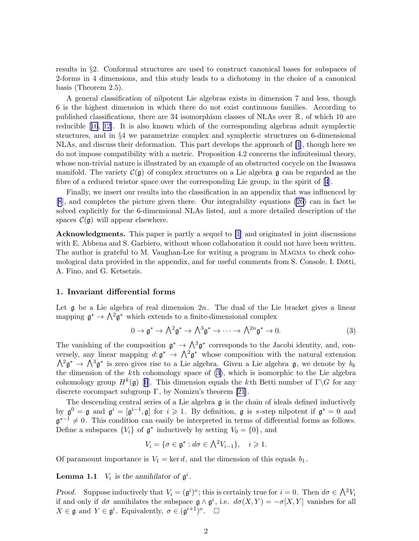<span id="page-1-0"></span>results in §2. Conformal structures are used to construct canonical bases for subspaces of 2-forms in 4 dimensions, and this study leads to a dichotomy in the choice of a canonical basis (Theorem 2.5).

A general classification of nilpotent Lie algebras exists in dimension 7 and less, though 6 is the highest dimension in which there do not exist continuous families. According to published classifications, there are 34 isomorphism classes of NLAs over R, of which 10 are reducible[[16](#page-19-0), [12](#page-19-0)]. It is also known which of the corresponding algebras admit symplectic structures, and in §4 we parametrize complex and symplectic structures on 6-dimensional NLAs, and discuss their deformation. This part develops the approach of [\[1\]](#page-19-0), though here we do not impose compatibility with a metric. Proposition 4.2 concerns the infinitesimal theory, whose non-trivial nature is illustrated by an example of an obstructed cocycle on the Iwasawa manifold. The variety  $\mathcal{C}(\mathfrak{g})$  of complex structures on a Lie algebra  $\mathfrak{g}$  can be regarded as the fibre of a reduced twistor space over the corresponding Lie group, in the spirit of[[4](#page-19-0)].

Finally, we insert our results into the classification in an appendix that was influenced by [[8](#page-19-0)], and completes the picture given there. Our integrability equations [\(26](#page-13-0)) can in fact be solved explicitly for the 6-dimensional NLAs listed, and a more detailed description of the spaces  $\mathcal{C}(\mathfrak{g})$  will appear elsewhere.

Acknowledgments. This paper is partly a sequel to [\[1](#page-19-0)] and originated in joint discussions with E. Abbena and S. Garbiero, without whose collaboration it could not have been written. The author is grateful to M. Vaughan-Lee for writing a program in MAGMA to check cohomological data provided in the appendix, and for useful comments from S. Console, I. Dotti, A. Fino, and G. Ketsetzis.

#### 1. Invariant differential forms

Let  $\mathfrak g$  be a Lie algebra of real dimension  $2n$ . The dual of the Lie bracket gives a linear mapping  $g^* \to \Lambda^2 g^*$  which extends to a finite-dimensional complex

$$
0 \to \mathfrak{g}^* \to \bigwedge^2 \mathfrak{g}^* \to \bigwedge^3 \mathfrak{g}^* \to \cdots \to \bigwedge^{2n} \mathfrak{g}^* \to 0. \tag{3}
$$

The vanishing of the composition  $\mathfrak{g}^* \to \Lambda^3 \mathfrak{g}^*$  corresponds to the Jacobi identity, and, conversely, any linear mapping  $d: \mathfrak{g}^* \to \Lambda^2 \mathfrak{g}^*$  whose composition with the natural extension  $\Lambda^2 \mathfrak{g}^* \to \Lambda^3 \mathfrak{g}^*$  is zero gives rise to a Lie algebra. Given a Lie algebra  $\mathfrak{g}$ , we denote by  $b_k$ the dimension of the  $k$ th cohomology space of (3), which is isomorphic to the Lie algebra cohomologygroup  $H^k(\mathfrak{g})$  [[6](#page-19-0)]. This dimension equals the kth Betti number of  $\Gamma \backslash G$  for any discrete cocompact subgroup  $\Gamma$ , by Nomizu's theorem [\[21](#page-19-0)].

The descending central series of a Lie algebra g is the chain of ideals defined inductively by  $\mathfrak{g}^0 = \mathfrak{g}$  and  $\mathfrak{g}^i = [\mathfrak{g}^{i-1}, \mathfrak{g}]$  for  $i \geq 1$ . By definition,  $\mathfrak{g}$  is s-step nilpotent if  $\mathfrak{g}^s = 0$  and  $\mathfrak{g}^{s-1} \neq 0$ . This condition can easily be interpreted in terms of differential forms as follows. Define a subspaces  ${V_i}$  of  $\mathfrak{g}^*$  inductively by setting  $V_0 = \{0\}$ , and

$$
V_i = \{ \sigma \in \mathfrak{g}^* : d\sigma \in \bigwedge^2 V_{i-1} \}, \quad i \geq 1.
$$

Of paramount importance is  $V_1 = \text{ker } d$ , and the dimension of this equals  $b_1$ .

**Lemma 1.1**  $V_i$  is the annihilator of  $\mathfrak{g}^i$ .

*Proof.* Suppose inductively that  $V_i = (\mathfrak{g}^i)^o$ ; this is certainly true for  $i = 0$ . Then  $d\sigma \in \bigwedge^2 V_i$ if and only if  $d\sigma$  annihilates the subspace  $\mathfrak{g} \wedge \mathfrak{g}^i$ , i.e.  $d\sigma(X,Y) = -\sigma(X,Y)$  vanishes for all  $X \in \mathfrak{g}$  and  $Y \in \mathfrak{g}^i$ . Equivalently,  $\sigma \in (\mathfrak{g}^{i+1})^o$ .  $\Box$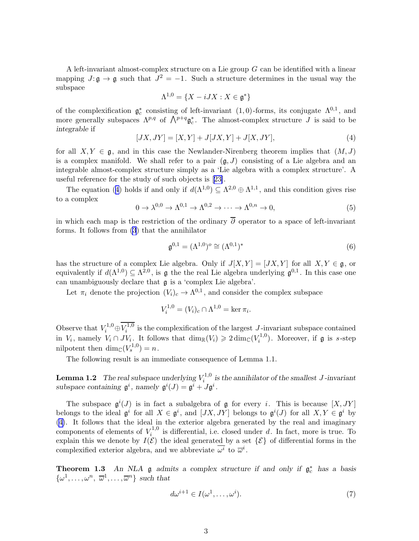<span id="page-2-0"></span>A left-invariant almost-complex structure on a Lie group G can be identified with a linear mapping  $J: \mathfrak{g} \to \mathfrak{g}$  such that  $J^2 = -1$ . Such a structure determines in the usual way the subspace

$$
\Lambda^{1,0} = \{ X - iJX : X \in \mathfrak{g}^* \}
$$

of the complexification  $\mathfrak{g}_c^*$ <sup>\*</sup><sub>c</sub> consisting of left-invariant (1,0)-forms, its conjugate  $\Lambda^{0,1}$ , and more generally subspaces  $\Lambda^{p,q}$  of  $\Lambda^{p+q} \mathfrak{g}_c^*$  $_{c}^{*}$ . The almost-complex structure J is said to be integrable if

$$
[JX, JY] = [X, Y] + J[JX, Y] + J[X, JY],
$$
\n(4)

for all  $X, Y \in \mathfrak{g}$ , and in this case the Newlander-Nirenberg theorem implies that  $(M, J)$ is a complex manifold. We shall refer to a pair  $(\mathfrak{g}, J)$  consisting of a Lie algebra and an integrable almost-complex structure simply as a 'Lie algebra with a complex structure'. A useful reference for the study of such objects is[[23\]](#page-19-0).

The equation (4) holds if and only if  $d(\Lambda^{1,0}) \subseteq \Lambda^{2,0} \oplus \Lambda^{1,1}$ , and this condition gives rise to a complex

$$
0 \to \lambda^{0,0} \to \Lambda^{0,1} \to \Lambda^{0,2} \to \cdots \to \Lambda^{0,n} \to 0,
$$
\n<sup>(5)</sup>

in which each map is the restriction of the ordinary  $\overline{\partial}$  operator to a space of left-invariant forms. It follows from([3](#page-1-0)) that the annihilator

$$
\mathfrak{g}^{0,1} = (\Lambda^{1,0})^{\circ} \cong (\Lambda^{0,1})^* \tag{6}
$$

has the structure of a complex Lie algebra. Only if  $J[X, Y] = [JX, Y]$  for all  $X, Y \in \mathfrak{g}$ , or equivalently if  $d(\Lambda^{1,0}) \subseteq \Lambda^{2,0}$ , is g the the real Lie algebra underlying  $\mathfrak{g}^{0,1}$ . In this case one can unambiguously declare that g is a 'complex Lie algebra'.

Let  $\pi_i$  denote the projection  $(V_i)_c \to \Lambda^{0,1}$ , and consider the complex subspace

$$
V_i^{1,0} = (V_i)_c \cap \Lambda^{1,0} = \ker \pi_i.
$$

Observe that  $V_i^{1,0} \oplus \overline{V_i^{1,0}}$  $i_i^{\text{L},0}$  is the complexification of the largest  $J$ -invariant subspace contained in  $V_i$ , namely  $V_i \cap JV_i$ . It follows that  $\dim_{\mathbb{R}}(V_i) \geq 2 \dim_{\mathbb{C}}(V_i^{1,0})$  $\binom{r^{1,0}}{i}$ . Moreover, if  $\mathfrak g$  is s-step nilpotent then  $\dim_{\mathbb{C}}(V_s^{1,0}) = n$ .

The following result is an immediate consequence of Lemma 1.1.

**Lemma 1.2** The real subspace underlying  $V_i^{1,0}$  $i_i^{(1,0)}$  is the annihilator of the smallest J-invariant subspace containing  $\mathfrak{g}^i$ , namely  $\mathfrak{g}^i(J) = \mathfrak{g}^i + J\mathfrak{g}^i$ .

The subspace  $\mathfrak{g}^i(J)$  is in fact a subalgebra of  $\mathfrak g$  for every i. This is because  $[X, JY]$ belongs to the ideal  $\mathfrak{g}^i$  for all  $X \in \mathfrak{g}^i$ , and  $[JX, JY]$  belongs to  $\mathfrak{g}^i(J)$  for all  $X, Y \in \mathfrak{g}^i$  by (4). It follows that the ideal in the exterior algebra generated by the real and imaginary components of elements of  $V_i^{1,0}$  $i<sup>t,0</sup>$  is differential, i.e. closed under d. In fact, more is true. To explain this we denote by  $I(\mathcal{E})$  the ideal generated by a set  $\{\mathcal{E}\}\$  of differential forms in the complexified exterior algebra, and we abbreviate  $\overline{\omega^i}$  to  $\overline{\omega}^i$ .

**Theorem 1.3** An NLA  $\mathfrak{g}$  admits a complex structure if and only if  $\mathfrak{g}_c^*$  has a basis  $\{\omega^1,\ldots,\omega^n,\overline{\omega}^1,\ldots,\overline{\omega}^n\}$  such that

$$
d\omega^{i+1} \in I(\omega^1, \dots, \omega^i). \tag{7}
$$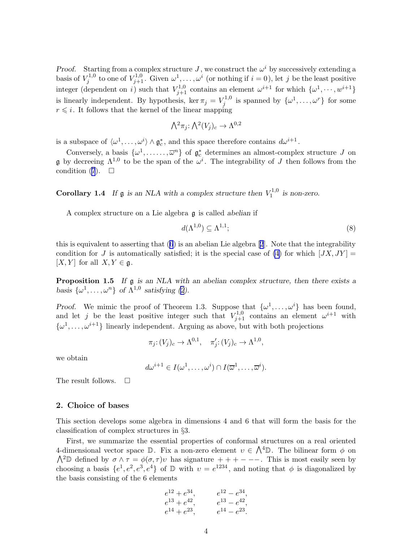Proof. Starting from a complex structure J, we construct the  $\omega^i$  by successively extending a basis of  $V_i^{1,0}$ <sup>1,0</sup> to one of  $V_{j+1}^{1,0}$ . Given  $\omega^1,\ldots,\omega^i$  (or nothing if  $i=0$ ), let j be the least positive integer (dependent on i) such that  $V_{j+1}^{1,0}$  contains an element  $\omega^{i+1}$  for which  $\{\omega^1,\cdots,\omega^{i+1}\}$ is linearly independent. By hypothesis, ker  $\pi_j = V_j^{1,0}$  $\mathcal{U}_j^{1,0}$  is spanned by  $\{\omega^1,\ldots,\omega^r\}$  for some  $r \leq i$ . It follows that the kernel of the linear mapping

$$
\bigwedge^2 \pi_j \colon \bigwedge^2 (V_j)_c \to \Lambda^{0,2}
$$

is a subspace of  $\langle \omega^1, \ldots, \omega^i \rangle \wedge \mathfrak{g}_c^*$  $_{c}^{*}$ , and this space therefore contains  $d\omega^{i+1}$ .

Conversely, a basis  $\{\omega^1, \ldots, \overline{\omega}^n\}$  of  $\mathfrak{g}_c^*$  determines an almost-complex structure J on **g** by decreeing  $\Lambda^{1,0}$  to be the span of the  $\omega^i$ . The integrability of J then follows from the condition  $(7)$ .  $\Box$ 

**Corollary 1.4** If  $\mathfrak{g}$  is an NLA with a complex structure then  $V_1^{1,0}$  is non-zero.

A complex structure on a Lie algebra g is called abelian if

$$
d(\Lambda^{1,0}) \subseteq \Lambda^{1,1};\tag{8}
$$

this is equivalent to asserting that([6](#page-2-0)) is an abelian Lie algebra[[2](#page-19-0)]. Note that the integrability condition for J is automatically satisfied; it is the special case of [\(4\)](#page-2-0) for which  $[JX, JY] =$  $[X, Y]$  for all  $X, Y \in \mathfrak{g}$ .

Proposition 1.5 If  $\mathfrak g$  is an NLA with an abelian complex structure, then there exists a basis  $\{\omega^1, \ldots, \omega^n\}$  of  $\Lambda^{1,0}$  satisfying [\(2](#page-0-0)).

*Proof.* We mimic the proof of Theorem 1.3. Suppose that  $\{\omega^1, \dots, \omega^i\}$  has been found, and let j be the least positive integer such that  $V_{j+1}^{1,0}$  contains an element  $\omega^{i+1}$  with  $\{\omega^1,\ldots,\omega^{i+1}\}\$ linearly independent. Arguing as above, but with both projections

$$
\pi_j \colon (V_j)_c \to \Lambda^{0,1}, \quad \pi'_j \colon (V_j)_c \to \Lambda^{1,0},
$$

we obtain

$$
d\omega^{i+1} \in I(\omega^1, \ldots, \omega^i) \cap I(\overline{\omega}^1, \ldots, \overline{\omega}^i).
$$

The result follows.  $\square$ 

#### 2. Choice of bases

This section develops some algebra in dimensions 4 and 6 that will form the basis for the classification of complex structures in §3.

First, we summarize the essential properties of conformal structures on a real oriented 4-dimensional vector space  $\mathbb D$ . Fix a non-zero element  $v \in \Lambda^4 \mathbb D$ . The bilinear form  $\phi$  on  $\bigwedge^2\mathbb{D}$  defined by  $\sigma \wedge \tau = \phi(\sigma, \tau)v$  has signature  $++---$ . This is most easily seen by choosing a basis  $\{e^1, e^2, e^3, e^4\}$  of D with  $v = e^{1234}$ , and noting that  $\phi$  is diagonalized by the basis consisting of the 6 elements

$$
e^{12} + e^{34}, \t e^{12} - e^{34},
$$
  
\n
$$
e^{13} + e^{42}, \t e^{13} - e^{42},
$$
  
\n
$$
e^{14} + e^{23}, \t e^{14} - e^{23}.
$$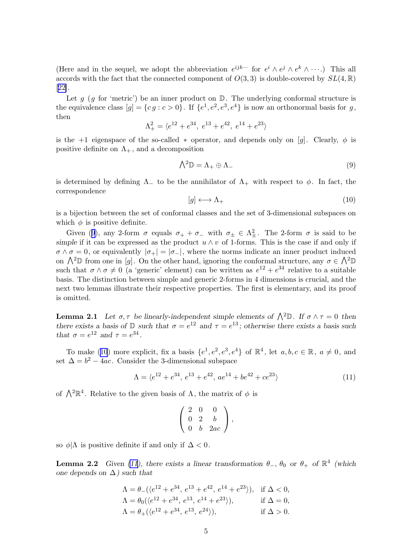(Here and in the sequel, we adopt the abbreviation  $e^{ijk\cdots}$  for  $e^i \wedge e^j \wedge e^k \wedge \cdots$ .) This all accords with the fact that the connected component of  $O(3,3)$  is double-covered by  $SL(4,\mathbb{R})$ [[22\]](#page-19-0).

Let  $g$  (g for 'metric') be an inner product on  $\mathbb{D}$ . The underlying conformal structure is the equivalence class  $[g] = \{cg : c > 0\}$ . If  $\{e^1, e^2, e^3, e^4\}$  is now an orthonormal basis for g, then

$$
\Lambda_+^2=\langle e^{12}+e^{34},\; e^{13}+e^{42},\; e^{14}+e^{23}\rangle
$$

is the +1 eigenspace of the so-called  $*$  operator, and depends only on [g]. Clearly,  $\phi$  is positive definite on  $\Lambda_{+}$ , and a decomposition

$$
\bigwedge^2 \mathbb{D} = \Lambda_+ \oplus \Lambda_- \tag{9}
$$

is determined by defining  $\Lambda$  to be the annihilator of  $\Lambda$  with respect to  $\phi$ . In fact, the correspondence

$$
[g] \longleftrightarrow \Lambda_+ \tag{10}
$$

is a bijection between the set of conformal classes and the set of 3-dimensional subspaces on which  $\phi$  is positive definite.

Given (9), any 2-form  $\sigma$  equals  $\sigma_+ + \sigma_-$  with  $\sigma_{\pm} \in \Lambda^2_{\pm}$ . The 2-form  $\sigma$  is said to be simple if it can be expressed as the product  $u \wedge v$  of 1-forms. This is the case if and only if  $\sigma \wedge \sigma = 0$ , or equivalently  $|\sigma_+| = |\sigma_-|$ , where the norms indicate an inner product induced on  $\Lambda^2\mathbb{D}$  from one in [g]. On the other hand, ignoring the conformal structure, any  $\sigma \in \Lambda^2\mathbb{D}$ such that  $\sigma \wedge \sigma \neq 0$  (a 'generic' element) can be written as  $e^{12} + e^{34}$  relative to a suitable basis. The distinction between simple and generic 2-forms in 4 dimensions is crucial, and the next two lemmas illustrate their respective properties. The first is elementary, and its proof is omitted.

**Lemma 2.1** Let  $\sigma, \tau$  be linearly-independent simple elements of  $\Lambda^2\mathbb{D}$ . If  $\sigma \wedge \tau = 0$  then there exists a basis of  $\mathbb D$  such that  $\sigma = e^{12}$  and  $\tau = e^{13}$ ; otherwise there exists a basis such that  $\sigma = e^{12}$  and  $\tau = e^{34}$ .

To make (10) more explicit, fix a basis  $\{e^1, e^2, e^3, e^4\}$  of  $\mathbb{R}^4$ , let  $a, b, c \in \mathbb{R}$ ,  $a \neq 0$ , and set  $\Delta = b^2 - 4ac$ . Consider the 3-dimensional subspace

$$
\Lambda = \langle e^{12} + e^{34}, e^{13} + e^{42}, ae^{14} + be^{42} + ce^{23} \rangle \tag{11}
$$

of  $\bigwedge^2 \mathbb{R}^4$ . Relative to the given basis of  $\Lambda$ , the matrix of  $\phi$  is

$$
\left(\begin{array}{ccc} 2 & 0 & 0 \\ 0 & 2 & b \\ 0 & b & 2ac \end{array}\right),
$$

so  $\phi$ |Λ is positive definite if and only if  $\Delta < 0$ .

**Lemma 2.2** Given (11), there exists a linear transformation  $\theta_-, \theta_0$  or  $\theta_+$  of  $\mathbb{R}^4$  (which one depends on  $\Delta$ ) such that

$$
\begin{aligned}\n\Lambda &= \theta_{-}(\langle e^{12} + e^{34}, e^{13} + e^{42}, e^{14} + e^{23} \rangle), \quad \text{if } \Delta < 0, \\
\Lambda &= \theta_{0}(\langle e^{12} + e^{34}, e^{13}, e^{14} + e^{23} \rangle), \quad \text{if } \Delta = 0, \\
\Lambda &= \theta_{+}(\langle e^{12} + e^{34}, e^{13}, e^{24} \rangle), \quad \text{if } \Delta > 0.\n\end{aligned}
$$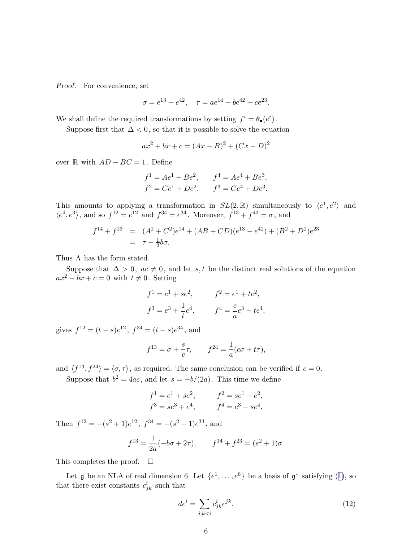<span id="page-5-0"></span>Proof. For convenience, set

$$
\sigma = e^{13} + e^{42}, \quad \tau = ae^{14} + be^{42} + ce^{23}.
$$

We shall define the required transformations by setting  $f^i = \theta_{\bullet}(e^i)$ .

Suppose first that  $\Delta < 0$ , so that it is possible to solve the equation

$$
ax^{2} + bx + c = (Ax - B)^{2} + (Cx - D)^{2}
$$

over  $\mathbb R$  with  $AD - BC = 1$ . Define

$$
f1 = Ae1 + Be2, \t f4 = Ae4 + Be3,f2 = Ce1 + De2, \t f3 = Ce4 + De3.
$$

This amounts to applying a transformation in  $SL(2,\mathbb{R})$  simultaneously to  $\langle e^1, e^2 \rangle$  and  $\langle e^4, e^3 \rangle$ , and so  $f^{12} = e^{12}$  and  $f^{34} = e^{34}$ . Moreover,  $f^{13} + f^{42} = \sigma$ , and

$$
f^{14} + f^{23} = (A^2 + C^2)e^{14} + (AB + CD)(e^{13} - e^{42}) + (B^2 + D^2)e^{23}
$$
  
=  $\tau - \frac{1}{2}b\sigma$ .

Thus  $\Lambda$  has the form stated.

Suppose that  $\Delta > 0$ ,  $ac \neq 0$ , and let s, t be the distinct real solutions of the equation  $ax^{2} + bx + c = 0$  with  $t \neq 0$ . Setting

$$
f1 = e1 + se2
$$
,  $f2 = e1 + te2$ ,  
\n $f3 = e3 + \frac{1}{t}e4$ ,  $f4 = \frac{c}{a}e3 + te4$ ,

gives  $f^{12} = (t - s)e^{12}$ ,  $f^{34} = (t - s)e^{34}$ , and

$$
f^{13} = \sigma + \frac{s}{c}\tau
$$
,  $f^{24} = \frac{1}{a}(c\sigma + t\tau)$ ,

and  $\langle f^{13}, f^{24} \rangle = \langle \sigma, \tau \rangle$ , as required. The same conclusion can be verified if  $c = 0$ .

Suppose that  $b^2 = 4ac$ , and let  $s = -b/(2a)$ . This time we define

$$
f1 = e1 + se2, \nf3 = se3 + e4, \nf4 = e3 - se4.
$$

Then  $f^{12} = -(s^2 + 1)e^{12}$ ,  $f^{34} = -(s^2 + 1)e^{34}$ , and

$$
f^{13} = \frac{1}{2a}(-b\sigma + 2\tau), \qquad f^{14} + f^{23} = (s^2 + 1)\sigma.
$$

This completes the proof.  $\square$ 

Let  $\mathfrak g$  be an NLA of real dimension 6. Let  $\{e^1,\ldots,e^6\}$  be a basis of  $\mathfrak g^*$  satisfying [\(1\)](#page-0-0), so that there exist constants  $c_{jk}^i$  such that

$$
de^i = \sum_{j,k < i} c^i_{jk} e^{jk}.\tag{12}
$$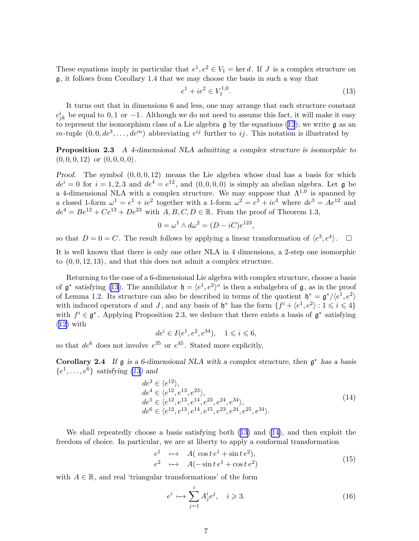<span id="page-6-0"></span>These equations imply in particular that  $e^1, e^2 \in V_1 = \text{ker } d$ . If J is a complex structure on g, it follows from Corollary 1.4 that we may choose the basis in such a way that

$$
e^1 + ie^2 \in V_1^{1,0}.\tag{13}
$$

It turns out that in dimensions 6 and less, one may arrange that each structure constant  $c_{jk}^i$  be equal to 0, 1 or -1. Although we do not need to assume this fact, it will make it easy torepresent the isomorphism class of a Lie algebra  $\frak g$  by the equations ([12](#page-5-0)); we write  $\frak g$  as an m-tuple  $(0, 0, de^3, \ldots, de^m)$  abbreviating  $e^{ij}$  further to ij. This notation is illustrated by

Proposition 2.3 A 4-dimensional NLA admitting a complex structure is isomorphic to  $(0, 0, 0, 12)$  or  $(0, 0, 0, 0)$ .

*Proof.* The symbol  $(0, 0, 0, 12)$  means the Lie algebra whose dual has a basis for which  $de^{i} = 0$  for  $i = 1, 2, 3$  and  $de^{4} = e^{12}$ , and  $(0, 0, 0, 0)$  is simply an abelian algebra. Let **g** be a 4-dimensional NLA with a complex structure. We may suppose that  $\Lambda^{1,0}$  is spanned by a closed 1-form  $\omega^1 = e^1 + ie^2$  together with a 1-form  $\omega^2 = e^3 + ie^4$  where  $de^3 = Ae^{12}$  and  $de^4 = Be^{12} + Ce^{13} + De^{23}$  with  $A, B, C, D \in \mathbb{R}$ . From the proof of Theorem 1.3,

$$
0 = \omega^1 \wedge d\omega^2 = (D - iC)e^{123},
$$

so that  $D = 0 = C$ . The result follows by applying a linear transformation of  $\langle e^3, e^4 \rangle$ .  $\Box$ 

It is well known that there is only one other NLA in 4 dimensions, a 2-step one isomorphic to  $(0, 0, 12, 13)$ , and that this does not admit a complex structure.

Returning to the case of a 6-dimensional Lie algebra with complex structure, choose a basis of  $\mathfrak{g}^*$  satisfying (13). The annihilator  $\mathfrak{h} = \langle e^1, e^2 \rangle$  is then a subalgebra of  $\mathfrak{g}$ , as in the proof of Lemma 1.2. Its structure can also be described in terms of the quotient  $\mathfrak{h}^* = \mathfrak{g}^*/\langle e^1, e^2 \rangle$ with induced operators d and J, and any basis of  $\mathfrak{h}^*$  has the form  $\{f^i + \langle e^1, e^2 \rangle : 1 \leq i \leq 4\}$ with  $f^i \in \mathfrak{g}^*$ . Applying Proposition 2.3, we deduce that there exists a basis of  $\mathfrak{g}^*$  satisfying [\(12\)](#page-5-0) with

 $de^i \in I(e^1, e^2, e^{34}), \quad 1 \leq i \leq 6,$ 

so that  $de^6$  does not involve  $e^{35}$  or  $e^{45}$ . Stated more explicitly,

Corollary 2.4 If  $\mathfrak g$  is a 6-dimensional NLA with a complex structure, then  $\mathfrak g^*$  has a basis  $\{e^1, \ldots, e^6\}$  satisfying (13) and

$$
de3 \in \langle e^{12} \rangle,de4 \in \langle e^{12}, e^{13}, e^{23} \rangle,de5 \in \langle e^{12}, e^{13}, e^{14}, e^{23}, e^{24}, e^{34} \rangle,de6 \in \langle e^{12}, e^{13}, e^{14}, e^{15}, e^{23}, e^{24}, e^{25}, e^{34} \rangle.
$$
 (14)

We shall repeatedly choose a basis satisfying both (13) and (14), and then exploit the freedom of choice. In particular, we are at liberty to apply a conformal transformation

$$
e1 \longrightarrow A(\cos t e1 + \sin t e2),
$$
  
\n
$$
e2 \longrightarrow A(-\sin t e1 + \cos t e2)
$$
\n(15)

with  $A \in \mathbb{R}$ , and real 'triangular transformations' of the form

$$
e^i \mapsto \sum_{j=1}^i A^i_j e^j, \quad i \geqslant 3. \tag{16}
$$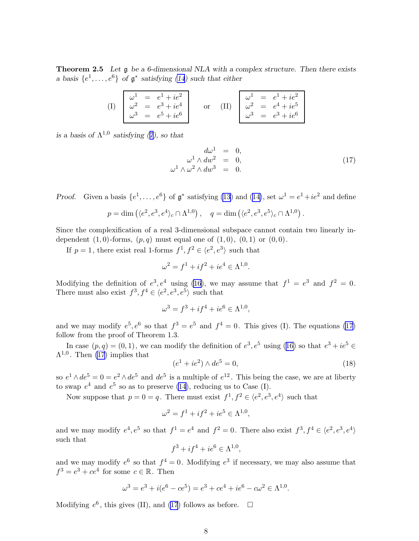<span id="page-7-0"></span>**Theorem 2.5** Let  $\mathfrak{g}$  be a 6-dimensional NLA with a complex structure. Then there exists a basis  $\{e^1, \ldots, e^6\}$  of  $\mathfrak{g}^*$  satisfying [\(14](#page-6-0)) such that either

| $= e^{1} + ie^{2}$<br>$= e^3 + ie^4$<br>$\omega^2$<br>$= e^5 + ie^6$<br>$\omega^3$ |  | $= e^1 + ie^2$<br>$\omega^1$<br>$\omega^2 = e^4 + ie^5$<br>$= e^3 + ie^6$<br>$\omega^3$ |
|------------------------------------------------------------------------------------|--|-----------------------------------------------------------------------------------------|
|------------------------------------------------------------------------------------|--|-----------------------------------------------------------------------------------------|

isa basis of  $\Lambda^{1,0}$  satisfying ([7\)](#page-2-0), so that

$$
d\omega^1 = 0,
$$
  
\n
$$
\omega^1 \wedge dw^2 = 0,
$$
  
\n
$$
\omega^1 \wedge \omega^2 \wedge dw^3 = 0.
$$
\n(17)

*Proof.* Given a basis  $\{e^1, \ldots, e^6\}$  of  $\mathfrak{g}^*$  satisfying [\(13\)](#page-6-0) and [\(14\)](#page-6-0), set  $\omega^1 = e^1 + ie^2$  and define

$$
p = \dim \left( \langle e^2, e^3, e^4 \rangle_c \cap \Lambda^{1,0} \right), \quad q = \dim \left( \langle e^2, e^3, e^5 \rangle_c \cap \Lambda^{1,0} \right).
$$

Since the complexification of a real 3-dimensional subspace cannot contain two linearly independent  $(1, 0)$ -forms,  $(p, q)$  must equal one of  $(1, 0)$ ,  $(0, 1)$  or  $(0, 0)$ .

If  $p = 1$ , there exist real 1-forms  $f^1, f^2 \in \langle e^2, e^3 \rangle$  such that

$$
\omega^2 = f^1 + if^2 + ie^4 \in \Lambda^{1,0}.
$$

Modifying the definition of  $e^3$ ,  $e^4$  using [\(16](#page-6-0)), we may assume that  $f^1 = e^3$  and  $f^2 = 0$ . There must also exist  $f^3, f^4 \in \langle e^2, e^3, e^5 \rangle$  such that

$$
\omega^3 = f^3 + if^4 + ie^6 \in \Lambda^{1,0},
$$

and we may modify  $e^5$ ,  $e^6$  so that  $f^3 = e^5$  and  $f^4 = 0$ . This gives (I). The equations (17) follow from the proof of Theorem 1.3.

Incase  $(p, q) = (0, 1)$ , we can modify the definition of  $e^3, e^5$  using ([16\)](#page-6-0) so that  $e^3 + ie^5 \in$  $\Lambda^{1,0}$ . Then (17) implies that

$$
(e1 + ie2) \wedge de5 = 0,
$$
\n(18)

so  $e^1 \wedge de^5 = 0 = e^2 \wedge de^5$  and  $de^5$  is a multiple of  $e^{12}$ . This being the case, we are at liberty to swap  $e^4$  and  $e^5$  so as to preserve [\(14](#page-6-0)), reducing us to Case (I).

Now suppose that  $p = 0 = q$ . There must exist  $f^1, f^2 \in \langle e^2, e^3, e^4 \rangle$  such that

$$
\omega^2 = f^1 + if^2 + ie^5 \in \Lambda^{1,0},
$$

and we may modify  $e^4, e^5$  so that  $f^1 = e^4$  and  $f^2 = 0$ . There also exist  $f^3, f^4 \in \langle e^2, e^3, e^4 \rangle$ such that

$$
f^3 + if^4 + ie^6 \in \Lambda^{1,0},
$$

and we may modify  $e^6$  so that  $f^4 = 0$ . Modifying  $e^3$  if necessary, we may also assume that  $f^3 = e^3 + ce^4$  for some  $c \in \mathbb{R}$ . Then

$$
\omega^3 = e^3 + i(e^6 - ce^5) = e^3 + ce^4 + ie^6 - c\omega^2 \in \Lambda^{1,0}.
$$

Modifying  $e^6$ , this gives (II), and (17) follows as before.  $\Box$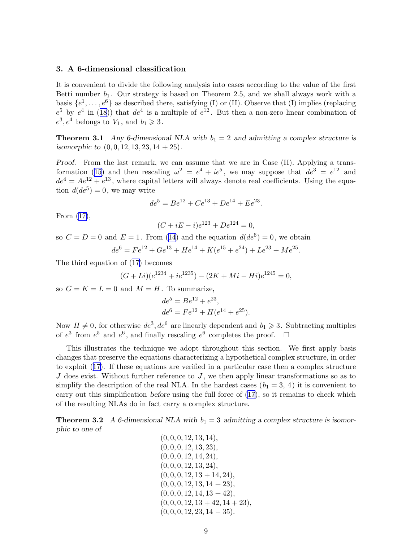#### 3. A 6-dimensional classification

It is convenient to divide the following analysis into cases according to the value of the first Betti number  $b_1$ . Our strategy is based on Theorem 2.5, and we shall always work with a basis  $\{e^1, \ldots, e^6\}$  as described there, satisfying (I) or (II). Observe that (I) implies (replacing  $e^5$ by  $e^4$  in ([18](#page-7-0))) that  $de^4$  is a multiple of  $e^{12}$ . But then a non-zero linear combination of  $e^3, e^4$  belongs to  $V_1$ , and  $b_1 \geq 3$ .

**Theorem 3.1** Any 6-dimensional NLA with  $b_1 = 2$  and admitting a complex structure is isomorphic to  $(0, 0, 12, 13, 23, 14 + 25)$ .

Proof. From the last remark, we can assume that we are in Case (II). Applying a trans-formation([15\)](#page-6-0) and then rescaling  $\omega^2 = e^4 + ie^5$ , we may suppose that  $de^3 = e^{12}$  and  $de^{4} = Ae^{12} + e^{13}$ , where capital letters will always denote real coefficients. Using the equation  $d(de^5) = 0$ , we may write

$$
de^5 = Be^{12} + Ce^{13} + De^{14} + Ee^{23}.
$$

From([17\)](#page-7-0),

$$
(C + iE - i)e^{123} + De^{124} = 0,
$$

so  $C = D = 0$  and  $E = 1$ . From [\(14\)](#page-6-0) and the equation  $d(de^6) = 0$ , we obtain  $de^6 = Fe^{12} + Ge^{13} + He^{14} + K(e^{15} + e^{24}) + Le^{23} + Me^{25}.$ 

The third equation of([17\)](#page-7-0) becomes

$$
(G+Li)(e^{1234} + ie^{1235}) - (2K+Mi - Hi)e^{1245} = 0,
$$

so  $G = K = L = 0$  and  $M = H$ . To summarize,

$$
de5 = Be12 + e23,
$$
  

$$
de6 = Fe12 + H(e14 + e25).
$$

Now  $H \neq 0$ , for otherwise  $de^3, de^6$  are linearly dependent and  $b_1 \geq 3$ . Subtracting multiples of  $e^3$  from  $e^5$  and  $e^6$ , and finally rescaling  $e^6$  completes the proof.  $\Box$ 

This illustrates the technique we adopt throughout this section. We first apply basis changes that preserve the equations characterizing a hypothetical complex structure, in order to exploit([17\)](#page-7-0). If these equations are verified in a particular case then a complex structure  $J$  does exist. Without further reference to  $J$ , we then apply linear transformations so as to simplify the description of the real NLA. In the hardest cases  $(b_1 = 3, 4)$  it is convenient to carry out this simplification before using the full force of [\(17\)](#page-7-0), so it remains to check which of the resulting NLAs do in fact carry a complex structure.

**Theorem 3.2** A 6-dimensional NLA with  $b_1 = 3$  admitting a complex structure is isomorphic to one of  $(0, 0, 0, 10, 19, 14)$ 

$$
(0, 0, 0, 12, 13, 14),(0, 0, 0, 12, 13, 23),(0, 0, 0, 12, 14, 24),(0, 0, 0, 12, 13, 24),(0, 0, 0, 12, 13 + 14, 24),(0, 0, 0, 12, 13, 14 + 23),(0, 0, 0, 12, 14, 13 + 42),(0, 0, 0, 12, 13 + 42, 14 + 23),(0, 0, 0, 12, 23, 14 - 35).
$$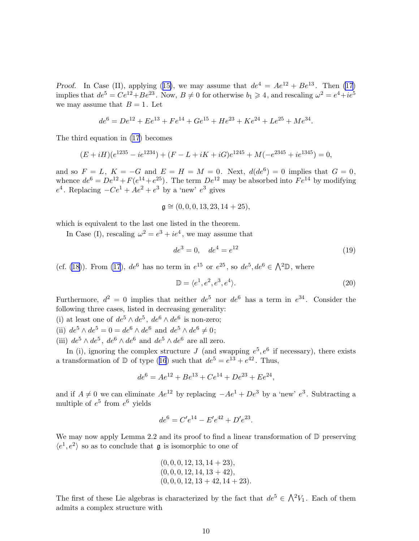<span id="page-9-0"></span>Proof.In Case (II), applying ([15\)](#page-6-0), we may assume that  $de^4 = Ae^{12} + Be^{13}$ . Then [\(17\)](#page-7-0) implies that  $de^5 = Ce^{12} + Be^{23}$ . Now,  $B \neq 0$  for otherwise  $b_1 \geq 4$ , and rescaling  $\omega^2 = e^4 + ie^5$ we may assume that  $B = 1$ . Let

$$
de^{6} = De^{12} + Ee^{13} + Fe^{14} + Ge^{15} + He^{23} + Ke^{24} + Le^{25} + Me^{34}.
$$

The third equation in [\(17\)](#page-7-0) becomes

$$
(E + iH)(e^{1235} - ie^{1234}) + (F - L + iK + iG)e^{1245} + M(-e^{2345} + ie^{1345}) = 0,
$$

and so  $F = L$ ,  $K = -G$  and  $E = H = M = 0$ . Next,  $d(de<sup>6</sup>) = 0$  implies that  $G = 0$ , whence  $de^6 = De^{12} + F(e^{14} + e^{25})$ . The term  $De^{12}$  may be absorbed into  $Fe^{14}$  by modifying  $e^4$ . Replacing  $-Ce^1 + Ae^2 + e^3$  by a 'new'  $e^3$  gives

$$
\mathfrak{g} \cong (0,0,0,13,23,14+25),
$$

which is equivalent to the last one listed in the theorem.

In Case (I), rescaling  $\omega^2 = e^3 + ie^4$ , we may assume that

$$
de^3 = 0, \quad de^4 = e^{12} \tag{19}
$$

(cf. [\(18](#page-7-0))). From [\(17](#page-7-0)),  $de^6$  has no term in  $e^{15}$  or  $e^{25}$ , so  $de^5, de^6 \in \Lambda^2\mathbb{D}$ , where

$$
\mathbb{D} = \langle e^1, e^2, e^3, e^4 \rangle. \tag{20}
$$

Furthermore,  $d^2 = 0$  implies that neither  $de^5$  nor  $de^6$  has a term in  $e^{34}$ . Consider the following three cases, listed in decreasing generality:

(i) at least one of  $de^5 \wedge de^5$ ,  $de^6 \wedge de^6$  is non-zero;

- (ii)  $de^5 \wedge de^5 = 0 = de^6 \wedge de^6$  and  $de^5 \wedge de^6 \neq 0$ ;
- (iii)  $de^5 \wedge de^5$ ,  $de^6 \wedge de^6$  and  $de^5 \wedge de^6$  are all zero.

In (i), ignoring the complex structure J (and swapping  $e^5$ ,  $e^6$  if necessary), there exists atransformation of  $\mathbb D$  of type ([16](#page-6-0)) such that  $de^5 = e^{13} + e^{42}$ . Thus,

$$
de^6 = Ae^{12} + Be^{13} + Ce^{14} + De^{23} + Ee^{24},
$$

and if  $A \neq 0$  we can eliminate  $Ae^{12}$  by replacing  $-Ae^{1} + De^{3}$  by a 'new'  $e^{3}$ . Subtracting a multiple of  $e^5$  from  $e^6$  yields

$$
de^6 = C'e^{14} - E'e^{42} + D'e^{23}.
$$

We may now apply Lemma 2.2 and its proof to find a linear transformation of  $\mathbb D$  preserving  $\langle e^1, e^2 \rangle$  so as to conclude that **g** is isomorphic to one of

$$
(0, 0, 0, 12, 13, 14 + 23),(0, 0, 0, 12, 14, 13 + 42),(0, 0, 0, 12, 13 + 42, 14 + 23).
$$

The first of these Lie algebras is characterized by the fact that  $de^5 \in \bigwedge^2 V_1$ . Each of them admits a complex structure with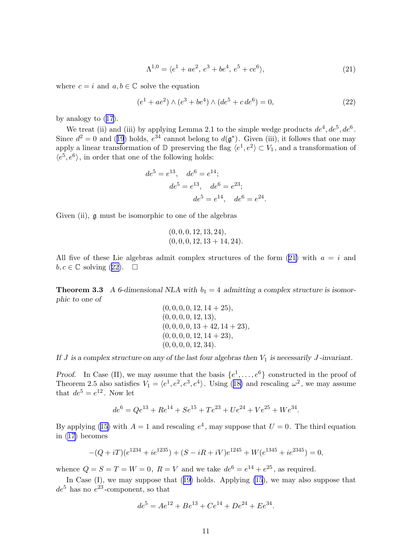$$
\Lambda^{1,0} = \langle e^1 + ae^2, e^3 + be^4, e^5 + ce^6 \rangle,
$$
\n(21)

where  $c = i$  and  $a, b \in \mathbb{C}$  solve the equation

$$
(e1 + ae2) \wedge (e3 + be4) \wedge (de5 + c de6) = 0,
$$
 (22)

.

by analogy to([17\)](#page-7-0).

We treat (ii) and (iii) by applying Lemma 2.1 to the simple wedge products  $de^4, de^5, de^6$ . Since $d^2 = 0$  and ([19](#page-9-0)) holds,  $e^{34}$  cannot belong to  $d(\mathfrak{g}^*)$ . Given (iii), it follows that one may apply a linear transformation of D preserving the flag  $\langle e^1, e^2 \rangle \subset V_1$ , and a transformation of  $\langle e^5, e^6 \rangle$ , in order that one of the following holds:

$$
de^5 = e^{13}
$$
,  $de^6 = e^{14}$ ;  
\n $de^5 = e^{13}$ ,  $de^6 = e^{23}$ ;  
\n $de^5 = e^{14}$ ,  $de^6 = e^{24}$ 

Given (ii),  $\mathfrak g$  must be isomorphic to one of the algebras

$$
(0,0,0,12,13,24), (0,0,0,12,13+14,24).
$$

All five of these Lie algebras admit complex structures of the form  $(21)$  with  $a = i$  and  $b, c \in \mathbb{C}$  solving (22).  $\square$ 

**Theorem 3.3** A 6-dimensional NLA with  $b_1 = 4$  admitting a complex structure is isomorphic to one of

$$
(0, 0, 0, 0, 12, 14 + 25),(0, 0, 0, 0, 12, 13),(0, 0, 0, 0, 13 + 42, 14 + 23),(0, 0, 0, 0, 12, 14 + 23),(0, 0, 0, 0, 12, 34).
$$

If J is a complex structure on any of the last four algebras then  $V_1$  is necessarily J-invariant.

Proof. In Case (II), we may assume that the basis  $\{e^1, \ldots, e^6\}$  constructed in the proof of Theorem2.5 also satisfies  $V_1 = \langle e^1, e^2, e^3, e^4 \rangle$ . Using ([18\)](#page-7-0) and rescaling  $\omega^2$ , we may assume that  $de^5 = e^{12}$ . Now let

$$
de^{6} = Qe^{13} + Re^{14} + Se^{15} + Te^{23} + Ue^{24} + Ve^{25} + We^{34}.
$$

Byapplying ([15\)](#page-6-0) with  $A = 1$  and rescaling  $e^4$ , may suppose that  $U = 0$ . The third equation in([17\)](#page-7-0) becomes

$$
-(Q+iT)(e^{1234}+ie^{1235})+(S-iR+iV)e^{1245}+We^{1345}+ie^{2345})=0,
$$

whence  $Q = S = T = W = 0$ ,  $R = V$  and we take  $de^6 = e^{14} + e^{25}$ , as required.

InCase (I), we may suppose that ([19\)](#page-9-0) holds. Applying [\(15](#page-6-0)), we may also suppose that  $de^5$  has no  $e^{23}$ -component, so that

$$
de^5 = Ae^{12} + Be^{13} + Ce^{14} + De^{24} + Ee^{34}.
$$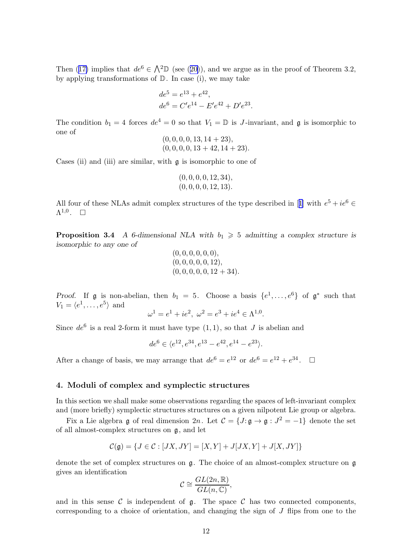Then([17\)](#page-7-0) implies that  $de^6 \in \Lambda^2\mathbb{D}$  (see ([20\)](#page-9-0)), and we argue as in the proof of Theorem 3.2, by applying transformations of  $D$ . In case (i), we may take

$$
de5 = e13 + e42,
$$
  

$$
de6 = C'e14 - E'e42 + D'e23.
$$

The condition  $b_1 = 4$  forces  $de^4 = 0$  so that  $V_1 = \mathbb{D}$  is J-invariant, and  $\mathfrak{g}$  is isomorphic to one of

$$
(0,0,0,0,13,14+23), (0,0,0,0,13+42,14+23).
$$

Cases (ii) and (iii) are similar, with g is isomorphic to one of

$$
(0, 0, 0, 0, 12, 34), (0, 0, 0, 0, 12, 13).
$$

Allfour of these NLAs admit complex structures of the type described in [[1\]](#page-19-0) with  $e^5 + ie^6 \in$  $\Lambda^{1,0}$ .  $\Box$ 

**Proposition 3.4** A 6-dimensional NLA with  $b_1 \geq 5$  admitting a complex structure is isomorphic to any one of

$$
(0,0,0,0,0,0),(0,0,0,0,0,12),(0,0,0,0,0,12+34).
$$

*Proof.* If **g** is non-abelian, then  $b_1 = 5$ . Choose a basis  $\{e^1, \ldots, e^6\}$  of  $\mathfrak{g}^*$  such that  $V_1 = \langle e^1, \ldots, e^5 \rangle$  and

$$
\omega^1 = e^1 + ie^2, \ \omega^2 = e^3 + ie^4 \in \Lambda^{1,0}.
$$

Since  $de^6$  is a real 2-form it must have type  $(1, 1)$ , so that J is abelian and

 $de^6 \in \langle e^{12}, e^{34}, e^{13} - e^{42}, e^{14} - e^{23} \rangle.$ 

After a change of basis, we may arrange that  $de^6 = e^{12}$  or  $de^6 = e^{12} + e^{34}$ .  $\Box$ 

#### 4. Moduli of complex and symplectic structures

In this section we shall make some observations regarding the spaces of left-invariant complex and (more briefly) symplectic structures structures on a given nilpotent Lie group or algebra.

Fix a Lie algebra g of real dimension  $2n$ . Let  $C = \{J : g \to g : J^2 = -1\}$  denote the set of all almost-complex structures on g, and let

$$
\mathcal{C}(\mathfrak{g}) = \{J \in \mathcal{C} : [JX, JY] = [X, Y] + J[JX, Y] + J[X, JY]\}
$$

denote the set of complex structures on  $\mathfrak{g}$ . The choice of an almost-complex structure on  $\mathfrak{g}$ gives an identification

$$
\mathcal{C} \cong \frac{GL(2n,\mathbb{R})}{GL(n,\mathbb{C})},
$$

and in this sense C is independent of  $\mathfrak{g}$ . The space C has two connected components, corresponding to a choice of orientation, and changing the sign of J flips from one to the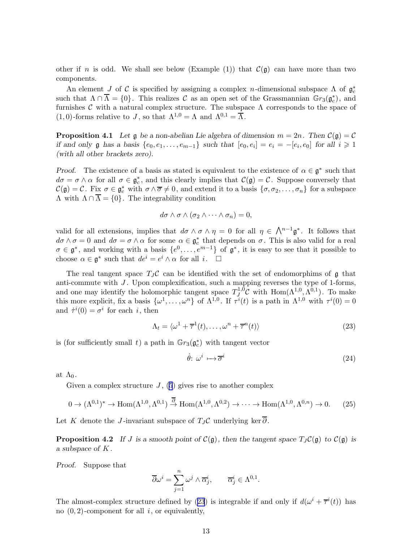<span id="page-12-0"></span>other if n is odd. We shall see below (Example (1)) that  $\mathcal{C}(\mathfrak{g})$  can have more than two components.

An element J of C is specified by assigning a complex n-dimensional subspace  $\Lambda$  of  $\mathfrak{g}_c^*$ c such that  $\Lambda \cap \overline{\Lambda} = \{0\}$ . This realizes C as an open set of the Grassmannian  $\mathbb{G}r_3(\mathfrak{g}_c^*)$  $_{c}^{*}$ ), and furnishes  $\mathcal C$  with a natural complex structure. The subspace  $\Lambda$  corresponds to the space of (1,0)-forms relative to J, so that  $\Lambda^{1,0} = \Lambda$  and  $\Lambda^{0,1} = \overline{\Lambda}$ .

**Proposition 4.1** Let  $\mathfrak{g}$  be a non-abelian Lie algebra of dimension  $m = 2n$ . Then  $\mathcal{C}(\mathfrak{g}) = \mathcal{C}$ if and only  $\mathfrak g$  has a basis  $\{e_0, e_1, \ldots, e_{m-1}\}$  such that  $[e_0, e_i] = e_i = -[e_i, e_0]$  for all  $i \geq 1$ (with all other brackets zero).

*Proof.* The existence of a basis as stated is equivalent to the existence of  $\alpha \in \mathfrak{g}^*$  such that  $d\sigma = \sigma \wedge \alpha$  for all  $\sigma \in \mathfrak{g}_c^*$  $\zeta_c^*$ , and this clearly implies that  $\mathcal{C}(\mathfrak{g}) = \mathcal{C}$ . Suppose conversely that  $\mathcal{C}(\mathfrak{g}) = \mathcal{C}$ . Fix  $\sigma \in \mathfrak{g}_c^*$  with  $\sigma \wedge \overline{\sigma} \neq 0$ , and extend it to a basis  $\{\sigma, \sigma_2, \ldots, \sigma_n\}$  for a subspace  $Λ$  with  $Λ ∩ \overline{Λ} = \{0\}$ . The integrability condition

$$
d\sigma \wedge \sigma \wedge (\sigma_2 \wedge \cdots \wedge \sigma_n) = 0,
$$

valid for all extensions, implies that  $d\sigma \wedge \sigma \wedge \eta = 0$  for all  $\eta \in \bigwedge^{n-1} \mathfrak{g}^*$ . It follows that  $d\sigma \wedge \sigma = 0$  and  $d\sigma = \sigma \wedge \alpha$  for some  $\alpha \in \mathfrak{g}_c^*$  $_{c}^{*}$  that depends on  $\sigma$ . This is also valid for a real  $\sigma \in \mathfrak{g}^*$ , and working with a basis  $\{e^0, \ldots, e^{m-1}\}\$  of  $\mathfrak{g}^*$ , it is easy to see that it possible to choose  $\alpha \in \mathfrak{g}^*$  such that  $de^i = e^i \wedge \alpha$  for all  $i$ .  $\square$ 

The real tangent space  $T_J C$  can be identified with the set of endomorphims of g that anti-commute with  $J$ . Upon complexification, such a mapping reverses the type of 1-forms, and one may identify the holomorphic tangent space  $T_J^{1,0}$  $\iint_J^{1,0} C$  with Hom $(\Lambda^{1,0}, \Lambda^{0,1})$ . To make this more explicit, fix a basis  $\{\omega^1,\ldots,\omega^n\}$  of  $\Lambda^{1,0}$ . If  $\tau^i(t)$  is a path in  $\Lambda^{1,0}$  with  $\tau^i(0)=0$ and  $\dot{\tau}^i(0) = \sigma^i$  for each *i*, then

$$
\Lambda_t = \langle \omega^1 + \overline{\tau}^1(t), \dots, \omega^n + \overline{\tau}^n(t) \rangle \tag{23}
$$

is (for sufficiently small t) a path in  $\mathbb{G}r_3(\mathfrak{g}_c^*)$  $_{c}^{*}$ ) with tangent vector

$$
\dot{\theta} : \omega^i \mapsto \overline{\sigma}^i \tag{24}
$$

at  $\Lambda_0$ .

Given a complex structure  $J$ , [\(5](#page-2-0)) gives rise to another complex

$$
0 \to (\Lambda^{0,1})^* \to \text{Hom}(\Lambda^{1,0}, \Lambda^{0,1}) \stackrel{\overline{\partial}}{\to} \text{Hom}(\Lambda^{1,0}, \Lambda^{0,2}) \to \cdots \to \text{Hom}(\Lambda^{1,0}, \Lambda^{0,n}) \to 0. \tag{25}
$$

Let K denote the J-invariant subspace of  $T_J \mathcal{C}$  underlying ker  $\overline{\partial}$ .

**Proposition 4.2** If J is a smooth point of  $C(\mathfrak{g})$ , then the tangent space  $T_J C(\mathfrak{g})$  to  $C(\mathfrak{g})$  is a subspace of K .

Proof. Suppose that

$$
\overline{\partial}\omega^i = \sum_{j=1}^n \omega^j \wedge \overline{\alpha}_j^i, \qquad \overline{\alpha}_j^i \in \Lambda^{0,1}.
$$

The almost-complex structure defined by (23) is integrable if and only if  $d(\omega^i + \overline{\tau}^i(t))$  has no  $(0, 2)$ -component for all i, or equivalently,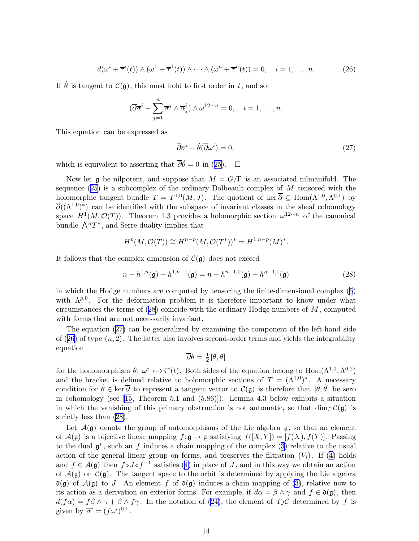$$
d(\omega^i + \overline{\tau}^i(t)) \wedge (\omega^1 + \overline{\tau}^1(t)) \wedge \cdots \wedge (\omega^n + \overline{\tau}^n(t)) = 0, \quad i = 1, \dots, n.
$$
 (26)

<span id="page-13-0"></span>If  $\dot{\theta}$  is tangent to  $\mathcal{C}(\mathfrak{g})$ , this must hold to first order in t, and so

$$
(\overline{\partial}\overline{\sigma}^{i} - \sum_{j=1}^{n} \overline{\sigma}^{j} \wedge \overline{\alpha}_{j}^{i}) \wedge \omega^{12\cdots n} = 0, \quad i = 1, \ldots, n.
$$

This equation can be expressed as

$$
\overline{\partial}\overline{\sigma}^i - \dot{\theta}(\overline{\partial}\omega^i) = 0,\tag{27}
$$

whichis equivalent to asserting that  $\overline{\partial}\dot{\theta}=0$  in ([25\)](#page-12-0).  $\Box$ 

Now let g be nilpotent, and suppose that  $M = G/\Gamma$  is an associated nilmanifold. The sequence  $(25)$  is a subcomplex of the ordinary Dolbeault complex of M tensored with the holomorphic tangent bundle  $T = T^{1,0}(M, J)$ . The quotient of ker  $\overline{\partial} \subseteq \text{Hom}(\Lambda^{1,0}, \Lambda^{0,1})$  by  $\overline{\partial}((\Lambda^{1,0})^*)$  can be identified with the subspace of invariant classes in the sheaf cohomology space  $H^1(M, \mathcal{O}(T))$ . Theorem 1.3 provides a holomorphic section  $\omega^{12 \cdots n}$  of the canonical bundle  $\bigwedge^n T^*$ , and Serre duality implies that

$$
H^{p}(M, \mathcal{O}(T)) \cong H^{n-p}(M, \mathcal{O}(T^{*}))^{*} = H^{1, n-p}(M)^{*}.
$$

It follows that the complex dimension of  $\mathcal{C}(\mathfrak{g})$  does not exceed

$$
n - h^{1,n}(\mathfrak{g}) + h^{1,n-1}(\mathfrak{g}) = n - h^{n-1,0}(\mathfrak{g}) + h^{n-1,1}(\mathfrak{g})
$$
\n(28)

in which the Hodge numbers are computed by tensoring the finite-dimensional complex([5](#page-2-0)) with  $\Lambda^{p,0}$ . For the deformation problem it is therefore important to know under what circumstances the terms of  $(28)$  coincide with the ordinary Hodge numbers of  $M$ , computed with forms that are not necessarily invariant.

The equation (27) can be generalized by examining the component of the left-hand side of  $(26)$  of type  $(n, 2)$ . The latter also involves second-order terms and yields the integrability equation

$$
\overline{\partial}\theta = \frac{1}{2}[\theta,\theta]
$$

for the homomorphism  $\theta: \omega^i \mapsto \overline{\tau}^i(t)$ . Both sides of the equation belong to  $\text{Hom}(\Lambda^{1,0}, \Lambda^{0,2})$ and the bracket is defined relative to holomorphic sections of  $T = (\Lambda^{1,0})^*$ . A necessary condition for  $\dot{\theta} \in \ker \overline{\partial}$  to represent a tangent vector to  $\mathcal{C}(\mathfrak{g})$  is therefore that  $[\dot{\theta}, \dot{\theta}]$  be zero in cohomology (see [\[15](#page-19-0), Theorem 5.1 and (5.86)]). Lemma 4.3 below exhibits a situation in which the vanishing of this primary obstruction is not automatic, so that dim $\mathcal{C}(\mathfrak{g})$  is strictly less than (28).

Let  $\mathcal{A}(\mathfrak{g})$  denote the group of automorphisms of the Lie algebra  $\mathfrak{g}$ , so that an element of  $\mathcal{A}(\mathfrak{g})$  is a bijective linear mapping  $f: \mathfrak{g} \to \mathfrak{g}$  satisfying  $f([X, Y]) = [f(X), f(Y)]$ . Passing tothe dual  $\mathfrak{g}^*$ , such an f induces a chain mapping of the complex ([3](#page-1-0)) relative to the usual action of the general linear group on forms, and preserves the filtration  $(V<sub>i</sub>)$ . If [\(4\)](#page-2-0) holds and $f \in \mathcal{A}(\mathfrak{g})$  then  $f \circ J \circ f^{-1}$  satisfies ([4\)](#page-2-0) in place of J, and in this way we obtain an action of  $\mathcal{A}(\mathfrak{g})$  on  $\mathcal{C}(\mathfrak{g})$ . The tangent space to the orbit is determined by applying the Lie algebra  $\mathfrak{d}(\mathfrak{g})$  of  $\mathcal{A}(\mathfrak{g})$  to J. An element f of  $\mathfrak{d}(\mathfrak{g})$  induces a chain mapping of [\(3\)](#page-1-0), relative now to its action as a derivation on exterior forms. For example, if  $d\alpha = \beta \wedge \gamma$  and  $f \in \mathfrak{d}(\mathfrak{g})$ , then  $d(f\alpha) = f\beta \wedge \gamma + \beta \wedge f\gamma$  $d(f\alpha) = f\beta \wedge \gamma + \beta \wedge f\gamma$  $d(f\alpha) = f\beta \wedge \gamma + \beta \wedge f\gamma$ . In the notation of ([24\)](#page-12-0), the element of  $T_J\mathcal{C}$  determined by f is given by  $\overline{\sigma}^i = (f\omega^i)^{0,1}$ .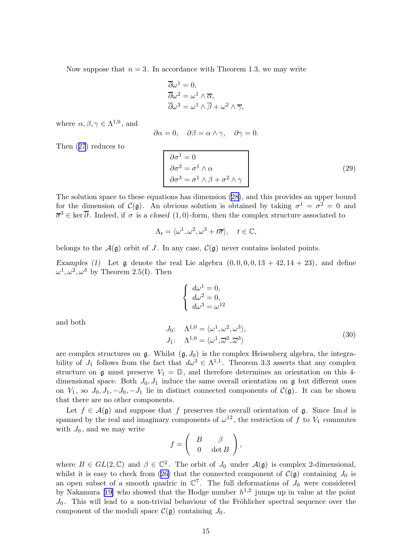<span id="page-14-0"></span>Now suppose that  $n = 3$ . In accordance with Theorem 1.3, we may write

$$
\overline{\partial}\omega^1 = 0,
$$
  
\n
$$
\overline{\partial}\omega^2 = \omega^1 \wedge \overline{\alpha},
$$
  
\n
$$
\overline{\partial}\omega^3 = \omega^1 \wedge \overline{\beta} + \omega^2 \wedge \overline{\gamma},
$$

where  $\alpha, \beta, \gamma \in \Lambda^{1,0}$ , and

$$
\partial \alpha = 0, \quad \partial \beta = \alpha \wedge \gamma, \quad \partial \gamma = 0.
$$

Then([27](#page-13-0)) reduces to

$$
\begin{cases}\n\partial \sigma^1 = 0 \\
\partial \sigma^2 = \sigma^1 \wedge \alpha \\
\partial \sigma^3 = \sigma^1 \wedge \beta + \sigma^2 \wedge \gamma\n\end{cases}
$$
\n(29)

The solution space to these equations has dimension [\(28\)](#page-13-0), and this provides an upper bound for the dimension of  $\mathcal{C}(\mathfrak{g})$ . An obvious solution is obtained by taking  $\sigma^1 = \sigma^2 = 0$  and  $\overline{\sigma}^3 \in \text{ker } \overline{\partial}$ . Indeed, if  $\sigma$  is a closed (1,0)-form, then the complex structure associated to

$$
\Lambda_t = \langle \omega^1, \omega^2, \omega^3 + t\overline{\sigma} \rangle, \quad t \in \mathbb{C},
$$

belongs to the  $\mathcal{A}(g)$  orbit of J. In any case,  $\mathcal{C}(g)$  never contains isolated points.

Examples (1) Let  $\mathfrak g$  denote the real Lie algebra  $(0, 0, 0, 0, 13 + 42, 14 + 23)$ , and define  $\omega^1, \omega^2, \omega^3$  by Theorem 2.5(I). Then

$$
\begin{cases}\nd\omega^1 = 0, \\
d\omega^2 = 0, \\
d\omega^3 = \omega^{12}\n\end{cases}
$$
\n
$$
J_0: \quad \Lambda^{1,0} = \langle \omega^1, \omega^2, \omega^3 \rangle,
$$
\n(30)

and both

are complex structures on  $\mathfrak{g}$ . Whilst  $(\mathfrak{g}, J_0)$  is the complex Heisenberg algebra, the integrability of  $J_1$  follows from the fact that  $d\omega^3 \in \Lambda^{1,1}$ . Theorem 3.3 asserts that any complex structure on g must preserve  $V_1 = \mathbb{D}$ , and therefore determines an orientation on this 4dimensional space. Both  $J_0, J_1$  induce the same overall orientation on g but different ones on  $V_1$ , so  $J_0, J_1, -J_0, -J_1$  lie in distinct connected components of  $\mathcal{C}(\mathfrak{g})$ . It can be shown that there are no other components.

 $J_1$ :  $\Lambda^{1,0} = \langle \omega^1, \overline{\omega}^2, \overline{\omega}^3 \rangle$ 

Let  $f \in \mathcal{A}(\mathfrak{g})$  and suppose that f preserves the overall orientation of  $\mathfrak{g}$ . Since Im d is spanned by the real and imaginary components of  $\omega^{12}$ , the restriction of f to  $V_1$  commutes with  $J_0$ , and we may write

$$
f = \left( \begin{array}{cc} B & \beta \\ 0 & \det B \end{array} \right),
$$

where  $B \in GL(2,\mathbb{C})$  and  $\beta \in \mathbb{C}^2$ . The orbit of  $J_0$  under  $\mathcal{A}(\mathfrak{g})$  is complex 2-dimensional, whilstit is easy to check from ([26\)](#page-13-0) that the connected component of  $\mathcal{C}(\mathfrak{g})$  containing  $J_0$  is an open subset of a smooth quadric in  $\mathbb{C}^7$ . The full deformations of  $J_0$  were considered by Nakamura [\[19](#page-19-0)] who showed that the Hodge number  $h^{1,2}$  jumps up in value at the point  $J_0$ . This will lead to a non-trivial behaviour of the Fröhlicher spectral sequence over the component of the moduli space  $\mathcal{C}(\mathfrak{g})$  containing  $J_0$ .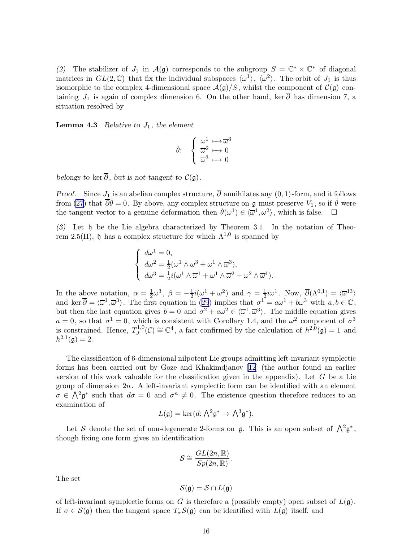(2) The stabilizer of  $J_1$  in  $\mathcal{A}(\mathfrak{g})$  corresponds to the subgroup  $S = \mathbb{C}^* \times \mathbb{C}^*$  of diagonal matrices in  $GL(2,\mathbb{C})$  that fix the individual subspaces  $\langle \omega^1 \rangle$ ,  $\langle \omega^2 \rangle$ . The orbit of  $J_1$  is thus isomorphic to the complex 4-dimensional space  $\mathcal{A}(\mathfrak{g})/S$ , whilst the component of  $\mathcal{C}(\mathfrak{g})$  containing  $J_1$  is again of complex dimension 6. On the other hand, ker  $\overline{\partial}$  has dimension 7, a situation resolved by

**Lemma 4.3** Relative to  $J_1$ , the element

$$
\dot{\theta} : \quad \begin{cases} \begin{array}{c} \omega^1 \longmapsto \overline{\omega}^3 \\ \overline{\omega}^2 \longmapsto 0 \\ \overline{\omega}^3 \longmapsto 0 \end{array} \end{cases}
$$

belongs to ker  $\overline{\partial}$ , but is not tangent to  $\mathcal{C}(\mathfrak{g})$ .

*Proof.* Since  $J_1$  is an abelian complex structure,  $\overline{\partial}$  annihilates any  $(0, 1)$ -form, and it follows from [\(27](#page-13-0)) that  $\overline{\partial}\dot{\theta}=0$ . By above, any complex structure on g must preserve  $V_1$ , so if  $\dot{\theta}$  were the tangent vector to a genuine deformation then  $\dot{\theta}(\omega^1) \in \langle \overline{\omega}^1, \omega^2 \rangle$ , which is false.  $\Box$ 

(3) Let h be the Lie algebra characterized by Theorem 3.1. In the notation of Theorem 2.5(II), h has a complex structure for which  $Λ^{1,0}$  is spanned by

$$
\begin{cases}\n d\omega^1 = 0, \\
 d\omega^2 = \frac{1}{2}(\omega^1 \wedge \omega^3 + \omega^1 \wedge \overline{\omega}^3), \\
 d\omega^3 = \frac{1}{2}i(\omega^1 \wedge \overline{\omega}^1 + \omega^1 \wedge \overline{\omega}^2 - \omega^2 \wedge \overline{\omega}^1).\n\end{cases}
$$

In the above notation,  $\alpha = \frac{1}{2}$  $\frac{1}{2}\omega^3, \ \beta = -\frac{1}{2}$  $\frac{1}{2}i(\omega^1 + \omega^2)$  and  $\gamma = \frac{1}{2}$  $\frac{1}{2}i\omega^1$ . Now,  $\overline{\partial}(\Lambda^{0,1}) = \langle \overline{\omega}^{13} \rangle$ andker  $\overline{\partial} = \langle \overline{\omega}^1, \overline{\omega}^3 \rangle$ . The first equation in ([29](#page-14-0)) implies that  $\sigma^1 = a\omega^1 + b\omega^3$  with  $a, b \in \mathbb{C}$ , but then the last equation gives  $b=0$  and  $\sigma^2 + a\omega^2 \in \langle \overline{\omega}^1, \overline{\omega}^3 \rangle$ . The middle equation gives  $a = 0$ , so that  $\sigma^1 = 0$ , which is consistent with Corollary 1.4, and the  $\omega^2$  component of  $\sigma^3$ is constrained. Hence,  $T_I^{1,0}$  $J^{1,0}(\mathcal{C}) \cong \mathbb{C}^4$ , a fact confirmed by the calculation of  $h^{2,0}(\mathfrak{g}) = 1$  and  $h^{2,1}(\mathfrak{g})=2.$ 

The classification of 6-dimensional nilpotent Lie groups admitting left-invariant symplectic forms has been carried out by Goze and Khakimdjanov [\[12](#page-19-0)] (the author found an earlier version of this work valuable for the classification given in the appendix). Let  $G$  be a Lie group of dimension  $2n$ . A left-invariant symplectic form can be identified with an element  $\sigma \in \Lambda^2 \mathfrak{g}^*$  such that  $d\sigma = 0$  and  $\sigma^n \neq 0$ . The existence question therefore reduces to an examination of

$$
L(\mathfrak{g}) = \ker(d: \bigwedge^2 \mathfrak{g}^* \to \bigwedge^3 \mathfrak{g}^*).
$$

Let S denote the set of non-degenerate 2-forms on  $\mathfrak{g}$ . This is an open subset of  $\bigwedge^2 \mathfrak{g}^*$ , though fixing one form gives an identification

$$
\mathcal{S} \cong \frac{GL(2n,\mathbb{R})}{Sp(2n,\mathbb{R})}.
$$

The set

$$
\mathcal{S}(\mathfrak{g}) = \mathcal{S} \cap L(\mathfrak{g})
$$

of left-invariant symplectic forms on G is therefore a (possibly empty) open subset of  $L(\mathfrak{g})$ . If  $\sigma \in \mathcal{S}(\mathfrak{g})$  then the tangent space  $T_{\sigma} \mathcal{S}(\mathfrak{g})$  can be identified with  $L(\mathfrak{g})$  itself, and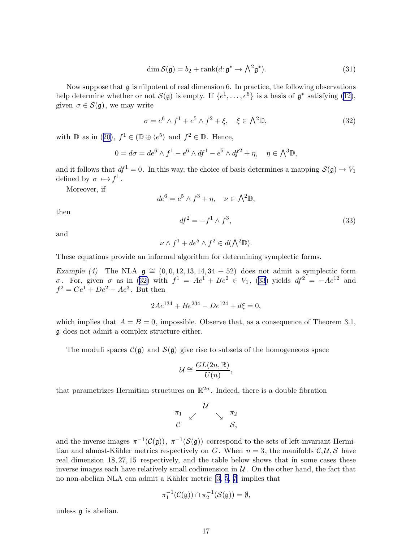$$
\dim \mathcal{S}(\mathfrak{g}) = b_2 + \operatorname{rank}(d; \mathfrak{g}^* \to \bigwedge^2 \mathfrak{g}^*). \tag{31}
$$

<span id="page-16-0"></span>Now suppose that  $\frak g$  is nilpotent of real dimension 6. In practice, the following observations help determine whether or not  $\mathcal{S}(\mathfrak{g})$  is empty. If  $\{e^1, \ldots, e^6\}$  is a basis of  $\mathfrak{g}^*$  satisfying [\(12\)](#page-5-0), given  $\sigma \in \mathcal{S}(\mathfrak{g})$ , we may write

$$
\sigma = e^6 \wedge f^1 + e^5 \wedge f^2 + \xi, \quad \xi \in \Lambda^2 \mathbb{D}, \tag{32}
$$

with $\mathbb{D}$  as in ([20](#page-9-0)),  $f^1 \in (\mathbb{D} \oplus \langle e^5 \rangle)$  and  $f^2 \in \mathbb{D}$ . Hence,

$$
0 = d\sigma = de^6 \wedge f^1 - e^6 \wedge df^1 - e^5 \wedge df^2 + \eta, \quad \eta \in \bigwedge^3 \mathbb{D},
$$

and it follows that  $df^1 = 0$ . In this way, the choice of basis determines a mapping  $\mathcal{S}(\mathfrak{g}) \to V_1$ defined by  $\sigma \mapsto f^1$ .

Moreover, if

$$
de^{6} = e^{5} \wedge f^{3} + \eta, \quad \nu \in \Lambda^{2} \mathbb{D},
$$

$$
df^{2} = -f^{1} \wedge f^{3}, \tag{33}
$$

and

then

$$
\nu \wedge f^1 + de^5 \wedge f^2 \in d(\bigwedge^2 \mathbb{D}).
$$

These equations provide an informal algorithm for determining symplectic forms.

Example (4) The NLA  $g \approx (0, 0, 12, 13, 14, 34 + 52)$  does not admit a symplectic form σ. For, given σ as in (32) with  $f^1 = Ae^1 + Be^2 \in V_1$ , (33) yields  $df^2 = -Ae^{12}$  and  $f^2 = Ce^1 + De^2 - Ae^3$ . But then

$$
2Ae^{134} + Be^{234} - De^{124} + d\xi = 0,
$$

which implies that  $A = B = 0$ , impossible. Observe that, as a consequence of Theorem 3.1, g does not admit a complex structure either.

The moduli spaces  $\mathcal{C}(\mathfrak{g})$  and  $\mathcal{S}(\mathfrak{g})$  give rise to subsets of the homogeneous space

$$
\mathcal{U} \cong \frac{GL(2n,\mathbb{R})}{U(n)},
$$

that parametrizes Hermitian structures on  $\mathbb{R}^{2n}$ . Indeed, there is a double fibration

$$
\begin{array}{ccc}\n\pi_1 & \swarrow & & \searrow & \pi_2 \\
\mathcal{C} & & & \searrow & \mathcal{S},\n\end{array}
$$

and the inverse images  $\pi^{-1}(\mathcal{C}(\mathfrak{g}))$ ,  $\pi^{-1}(\mathcal{S}(\mathfrak{g}))$  correspond to the sets of left-invariant Hermitian and almost-Kähler metrics respectively on G. When  $n = 3$ , the manifolds  $\mathcal{C}, \mathcal{U}, \mathcal{S}$  have real dimension 18, 27, 15 respectively, and the table below shows that in some cases these inverse images each have relatively small codimension in  $\mathcal{U}$ . On the other hand, the fact that no non-abelian NLA can admit a Kähler metric  $[3, 5, 7]$  implies that

$$
\pi_1^{-1}(\mathcal{C}(\mathfrak{g}))\cap \pi_2^{-1}(\mathcal{S}(\mathfrak{g}))=\emptyset,
$$

unless g is abelian.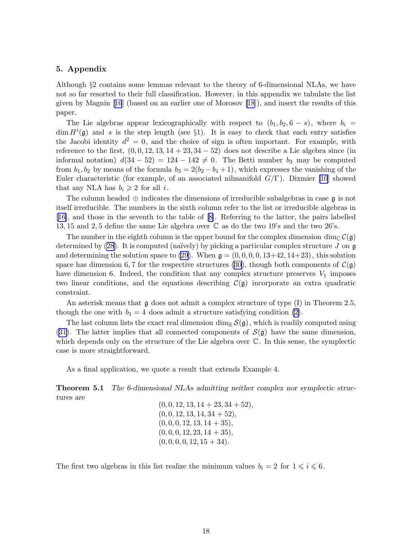### 5. Appendix

Although §2 contains some lemmas relevant to the theory of 6-dimensional NLAs, we have not so far resorted to their full classification. However, in this appendix we tabulate the list given by Magnin[[16](#page-19-0)] (based on an earlier one of Morosov [\[18](#page-19-0)]), and insert the results of this paper.

The Lie algebras appear lexicographically with respect to  $(b_1, b_2, 6 - s)$ , where  $b_i =$  $\dim H^i(\mathfrak{g})$  and s is the step length (see §1). It is easy to check that each entry satisfies the Jacobi identity  $d^2 = 0$ , and the choice of sign is often important. For example, with reference to the first,  $(0, 0, 12, 13, 14 + 23, 34 - 52)$  does not describe a Lie algebra since (in informal notation)  $d(34 - 52) = 124 - 142 \neq 0$ . The Betti number  $b_3$  may be computed from  $b_1, b_2$  by means of the formula  $b_3 = 2(b_2 - b_1 + 1)$ , which expresses the vanishing of the Euler characteristic (for example, of an associated nilmanifold  $G/\Gamma$ ). Dixmier [\[10](#page-19-0)] showed that any NLA has  $b_i \geq 2$  for all i.

The column headed  $\oplus$  indicates the dimensions of irreducible subalgebras in case  $\mathfrak g$  is not itself irreducible. The numbers in the sixth column refer to the list or irreducible algebras in [[16\]](#page-19-0), and those in the seventh to the table of [\[8\]](#page-19-0). Referring to the latter, the pairs labelled 13, 15 and 2, 5 define the same Lie algebra over C as do the two 19's and the two 26's.

The number in the eighth column is the upper bound for the complex dimension dim<sub>C</sub>  $\mathcal{C}(\mathfrak{g})$ determined by  $(28)$ . It is computed (naïvely) by picking a particular complex structure J on g and determining the solution space to [\(29](#page-14-0)). When  $\mathfrak{g} = (0, 0, 0, 0, 13+42, 14+23)$ , this solution space has dimension 6, 7 for the respective structures [\(30](#page-14-0)), though both components of  $\mathcal{C}(\mathfrak{g})$ have dimension 6. Indeed, the condition that any complex structure preserves  $V_1$  imposes two linear conditions, and the equations describing  $\mathcal{C}(\mathfrak{g})$  incorporate an extra quadratic constraint.

An asterisk means that  $\mathfrak g$  does not admit a complex structure of type  $(I)$  in Theorem 2.5, though the one with  $b_1 = 4$  does admit a structure satisfying condition [\(2\)](#page-0-0).

The last column lists the exact real dimension dim<sub>R</sub>  $\mathcal{S}(\mathfrak{g})$ , which is readily computed using [\(31\)](#page-16-0). The latter implies that all connected components of  $\mathcal{S}(\mathfrak{g})$  have the same dimension, which depends only on the structure of the Lie algebra over  $\mathbb C$ . In this sense, the symplectic case is more straightforward.

As a final application, we quote a result that extends Example 4.

Theorem 5.1 The 6-dimensional NLAs admitting neither complex nor symplectic structures are

 $(0, 0, 12, 13, 14 + 23, 34 + 52),$  $(0, 0, 12, 13, 14, 34 + 52),$  $(0, 0, 0, 12, 13, 14 + 35),$  $(0, 0, 0, 12, 23, 14 + 35),$  $(0, 0, 0, 0, 12, 15 + 34).$ 

The first two algebras in this list realize the minimum values  $b_i = 2$  for  $1 \leq i \leq 6$ .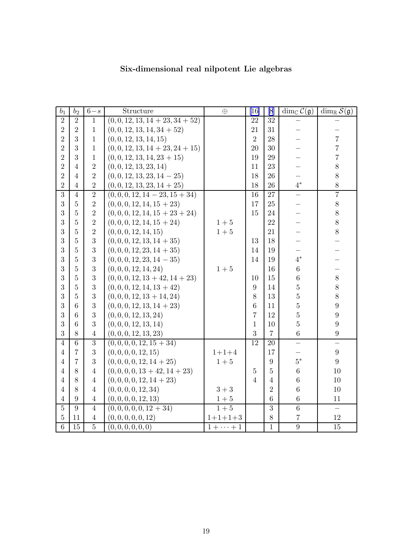| $\mathfrak{b}_1$ | b <sub>2</sub> | $6-s$          | Structure                          | $\oplus$     | [16]            | [8]            | dim <sub>c</sub> $\mathcal{C}(\mathfrak{g})$ | $\dim_{\mathbb{R}} \mathcal{S}(\mathfrak{g})$ |
|------------------|----------------|----------------|------------------------------------|--------------|-----------------|----------------|----------------------------------------------|-----------------------------------------------|
| $\overline{2}$   | $\overline{2}$ | $\mathbf{1}$   | $(0, 0, 12, 13, 14 + 23, 34 + 52)$ |              | 22              | 32             |                                              |                                               |
| $\overline{2}$   | $\overline{2}$ | $\mathbf{1}$   | $(0, 0, 12, 13, 14, 34 + 52)$      |              | 21              | 31             |                                              |                                               |
| $\overline{2}$   | 3              | $\mathbf{1}$   | (0, 0, 12, 13, 14, 15)             |              | $\overline{2}$  | 28             |                                              | $\overline{7}$                                |
| $\overline{2}$   | 3              | $\mathbf{1}$   | $(0, 0, 12, 13, 14 + 23, 24 + 15)$ |              | 20              | 30             |                                              | $\overline{7}$                                |
| $\overline{2}$   | 3              | $\mathbf{1}$   | $(0, 0, 12, 13, 14, 23 + 15)$      |              | 19              | 29             |                                              | $\overline{7}$                                |
| $\overline{2}$   | 4              | $\overline{2}$ | (0, 0, 12, 13, 23, 14)             |              | 11              | 23             |                                              | 8                                             |
| $\overline{2}$   | 4              | $\overline{2}$ | $(0, 0, 12, 13, 23, 14 - 25)$      |              | 18              | 26             |                                              | 8                                             |
| $\overline{2}$   | $\overline{4}$ | $\overline{2}$ | $(0, 0, 12, 13, 23, 14 + 25)$      |              | 18              | 26             | $4^*$                                        | 8                                             |
| $\overline{3}$   | $\overline{4}$ | $\overline{2}$ | $(0, 0, 0, 12, 14 - 23, 15 + 34)$  |              | 16              | 27             |                                              | $\overline{7}$                                |
| $\boldsymbol{3}$ | $\bf 5$        | $\overline{2}$ | $(0, 0, 0, 12, 14, 15 + 23)$       |              | 17              | 25             |                                              | $8\,$                                         |
| 3                | $\overline{5}$ | $\overline{2}$ | $(0, 0, 0, 12, 14, 15 + 23 + 24)$  |              | 15              | 24             |                                              | 8                                             |
| 3                | $\overline{5}$ | $\overline{2}$ | $(0, 0, 0, 12, 14, 15 + 24)$       | $1 + 5$      |                 | 22             |                                              | 8                                             |
| 3                | $\overline{5}$ | $\overline{2}$ | (0, 0, 0, 12, 14, 15)              | $1+5$        |                 | 21             |                                              | 8                                             |
| 3                | $\overline{5}$ | 3              | $(0, 0, 0, 12, 13, 14 + 35)$       |              | 13              | 18             |                                              |                                               |
| 3                | $\overline{5}$ | 3              | $(0, 0, 0, 12, 23, 14 + 35)$       |              | 14              | 19             |                                              |                                               |
| 3                | $\overline{5}$ | 3              | $(0, 0, 0, 12, 23, 14 - 35)$       |              | 14              | 19             | $4^*$                                        |                                               |
| 3                | $\overline{5}$ | 3              | (0, 0, 0, 12, 14, 24)              | $1 + 5$      |                 | 16             | $\sqrt{6}$                                   |                                               |
| 3                | $\overline{5}$ | 3              | $(0, 0, 0, 12, 13 + 42, 14 + 23)$  |              | 10              | 15             | $\overline{6}$                               | 8                                             |
| 3                | $\overline{5}$ | 3              | $(0, 0, 0, 12, 14, 13 + 42)$       |              | 9               | 14             | $\overline{5}$                               | 8                                             |
| 3                | $\overline{5}$ | 3              | $(0, 0, 0, 12, 13 + 14, 24)$       |              | 8               | 13             | $\overline{5}$                               | 8                                             |
| 3                | 6              | 3              | $(0, 0, 0, 12, 13, 14 + 23)$       |              | 6               | 11             | $\rm 5$                                      | $\boldsymbol{9}$                              |
| 3                | 6              | 3              | (0, 0, 0, 12, 13, 24)              |              | $\overline{7}$  | 12             | $\overline{5}$                               | $\overline{9}$                                |
| 3                | 6              | 3              | (0, 0, 0, 12, 13, 14)              |              | $\mathbf{1}$    | 10             | $\overline{5}$                               | 9                                             |
| 3                | 8              | $\overline{4}$ | (0, 0, 0, 12, 13, 23)              |              | 3               | $\overline{7}$ | $\sqrt{6}$                                   | $\boldsymbol{9}$                              |
| $\overline{4}$   | 6              | 3              | $(0, 0, 0, 0, 12, 15 + 34)$        |              | $\overline{12}$ | 20             |                                              | $\overline{\phantom{0}}$                      |
| $\overline{4}$   | $\overline{7}$ | 3              | (0, 0, 0, 0, 12, 15)               | $1 + 1 + 4$  |                 | 17             |                                              | $\boldsymbol{9}$                              |
| $\overline{4}$   | $\overline{7}$ | 3              | $(0, 0, 0, 0, 12, 14 + 25)$        | $1+5$        |                 | 9              | $5*$                                         | $9\phantom{.}$                                |
| $\overline{4}$   | 8              | $\overline{4}$ | $(0, 0, 0, 0, 13 + 42, 14 + 23)$   |              | $\overline{5}$  | 5              | $\overline{6}$                               | 10                                            |
| $\overline{4}$   | 8              | $\overline{4}$ | $(0, 0, 0, 0, 12, 14 + 23)$        |              | $\overline{4}$  | $\overline{4}$ | 6                                            | 10                                            |
| $\overline{4}$   | 8              | $\overline{4}$ | (0, 0, 0, 0, 12, 34)               | $3+3$        |                 | $\overline{2}$ | 6                                            | 10                                            |
| $\overline{4}$   | 9              | $\overline{4}$ | (0, 0, 0, 0, 12, 13)               | $1+5$        |                 | 6              | $\,6$                                        | 11                                            |
| $\overline{5}$   | 9              | $\overline{4}$ | $(0, 0, 0, 0, 0, 12 + 34)$         | $1+5$        |                 | $\overline{3}$ | $\overline{6}$                               | $\overline{\phantom{0}}$                      |
| $\bf 5$          | 11             | $\overline{4}$ | (0,0,0,0,0,12)                     | $1+1+1+3$    |                 | 8              | $\overline{7}$                               | 12                                            |
| $\overline{6}$   | 15             | $\overline{5}$ | (0, 0, 0, 0, 0, 0)                 | $1+\cdots+1$ |                 | $\mathbf{1}$   | $\overline{9}$                               | $\overline{15}$                               |

# Six-dimensional real nilpotent Lie algebras